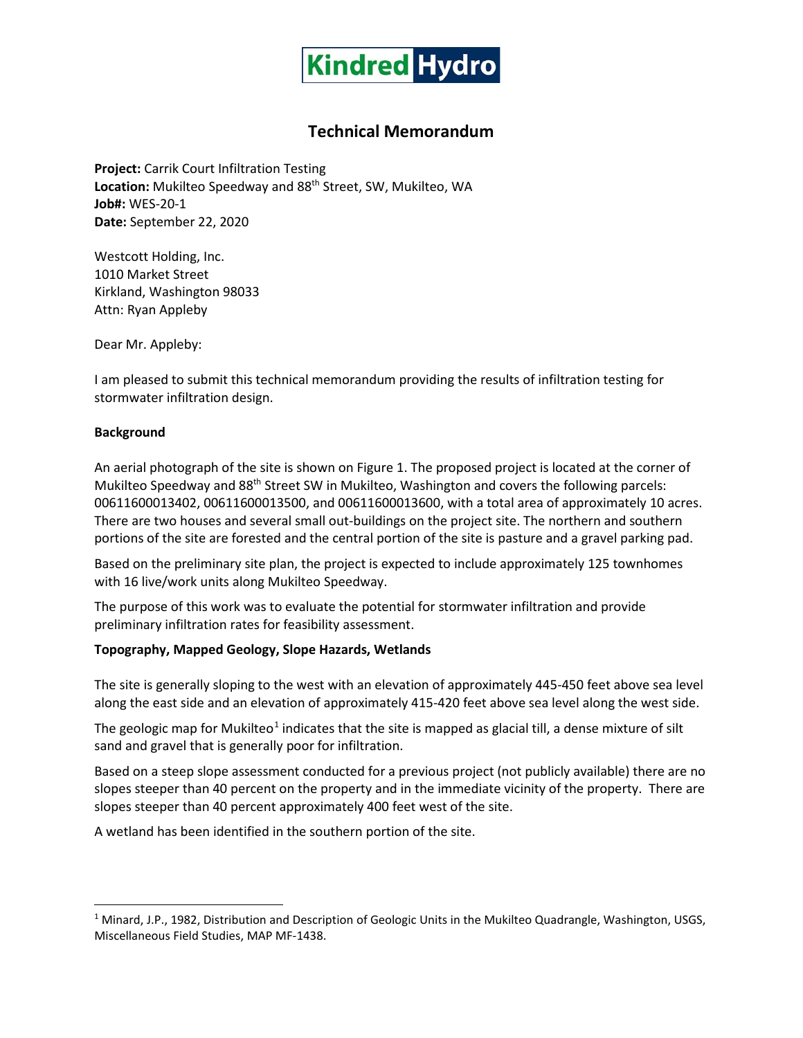

# **Technical Memorandum**

**Project:** Carrik Court Infiltration Testing Location: Mukilteo Speedway and 88<sup>th</sup> Street, SW, Mukilteo, WA **Job#:** WES-20-1 **Date:** September 22, 2020

Westcott Holding, Inc. 1010 Market Street Kirkland, Washington 98033 Attn: Ryan Appleby

Dear Mr. Appleby:

I am pleased to submit this technical memorandum providing the results of infiltration testing for stormwater infiltration design.

## **Background**

An aerial photograph of the site is shown on Figure 1. The proposed project is located at the corner of Mukilteo Speedway and 88<sup>th</sup> Street SW in Mukilteo, Washington and covers the following parcels: 00611600013402, 00611600013500, and 00611600013600, with a total area of approximately 10 acres. There are two houses and several small out-buildings on the project site. The northern and southern portions of the site are forested and the central portion of the site is pasture and a gravel parking pad.

Based on the preliminary site plan, the project is expected to include approximately 125 townhomes with 16 live/work units along Mukilteo Speedway.

The purpose of this work was to evaluate the potential for stormwater infiltration and provide preliminary infiltration rates for feasibility assessment.

## **Topography, Mapped Geology, Slope Hazards, Wetlands**

The site is generally sloping to the west with an elevation of approximately 445-450 feet above sea level along the east side and an elevation of approximately 415-420 feet above sea level along the west side.

The geologic map for Mukilteo<sup>[1](#page-0-0)</sup> indicates that the site is mapped as glacial till, a dense mixture of silt sand and gravel that is generally poor for infiltration.

Based on a steep slope assessment conducted for a previous project (not publicly available) there are no slopes steeper than 40 percent on the property and in the immediate vicinity of the property. There are slopes steeper than 40 percent approximately 400 feet west of the site.

A wetland has been identified in the southern portion of the site.

<span id="page-0-0"></span><sup>&</sup>lt;sup>1</sup> Minard, J.P., 1982, Distribution and Description of Geologic Units in the Mukilteo Quadrangle, Washington, USGS, Miscellaneous Field Studies, MAP MF-1438.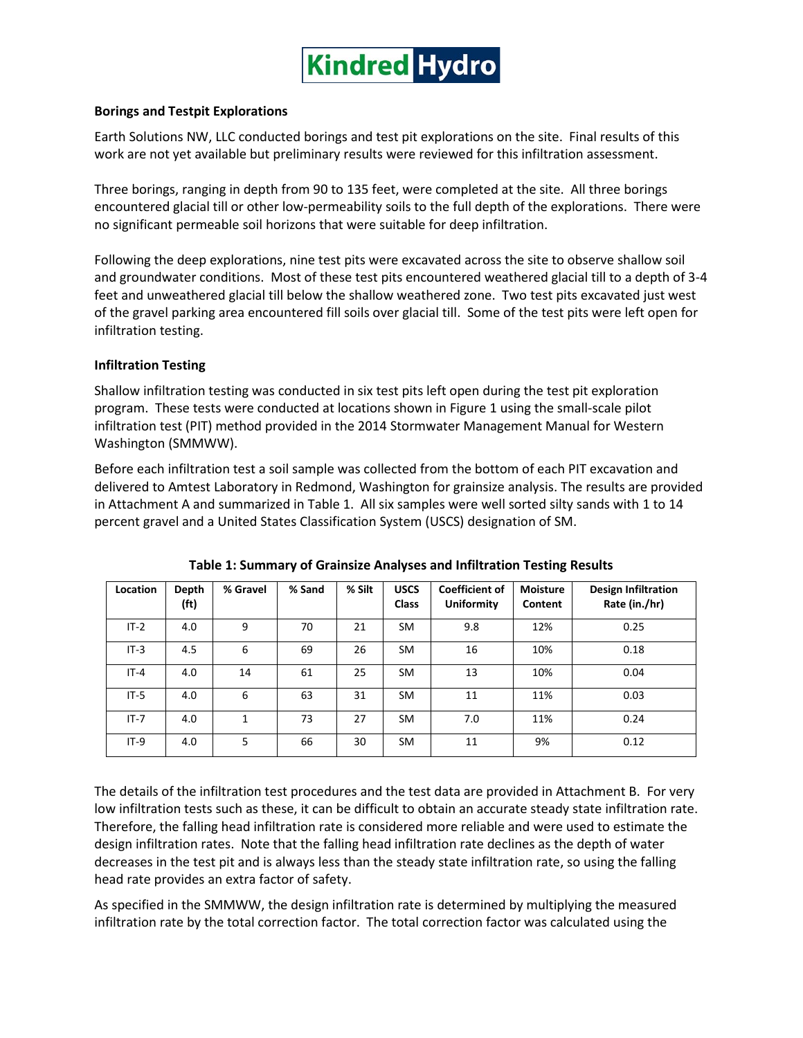

## **Borings and Testpit Explorations**

Earth Solutions NW, LLC conducted borings and test pit explorations on the site. Final results of this work are not yet available but preliminary results were reviewed for this infiltration assessment.

Three borings, ranging in depth from 90 to 135 feet, were completed at the site. All three borings encountered glacial till or other low-permeability soils to the full depth of the explorations. There were no significant permeable soil horizons that were suitable for deep infiltration.

Following the deep explorations, nine test pits were excavated across the site to observe shallow soil and groundwater conditions. Most of these test pits encountered weathered glacial till to a depth of 3-4 feet and unweathered glacial till below the shallow weathered zone. Two test pits excavated just west of the gravel parking area encountered fill soils over glacial till. Some of the test pits were left open for infiltration testing.

## **Infiltration Testing**

Shallow infiltration testing was conducted in six test pits left open during the test pit exploration program. These tests were conducted at locations shown in Figure 1 using the small-scale pilot infiltration test (PIT) method provided in the 2014 Stormwater Management Manual for Western Washington (SMMWW).

Before each infiltration test a soil sample was collected from the bottom of each PIT excavation and delivered to Amtest Laboratory in Redmond, Washington for grainsize analysis. The results are provided in Attachment A and summarized in Table 1. All six samples were well sorted silty sands with 1 to 14 percent gravel and a United States Classification System (USCS) designation of SM.

| Location | Depth<br>(f <sub>t</sub> ) | % Gravel | % Sand | % Silt | <b>USCS</b><br><b>Class</b> | <b>Coefficient of</b><br><b>Uniformity</b> | <b>Moisture</b><br>Content | <b>Design Infiltration</b><br>Rate (in./hr) |
|----------|----------------------------|----------|--------|--------|-----------------------------|--------------------------------------------|----------------------------|---------------------------------------------|
| $IT-2$   | 4.0                        | 9        | 70     | 21     | SM                          | 9.8                                        | 12%                        | 0.25                                        |
| $IT-3$   | 4.5                        | 6        | 69     | 26     | SM                          | 16                                         | 10%                        | 0.18                                        |
| $IT-4$   | 4.0                        | 14       | 61     | 25     | <b>SM</b>                   | 13                                         | 10%                        | 0.04                                        |
| $IT-5$   | 4.0                        | 6        | 63     | 31     | SM                          | 11                                         | 11%                        | 0.03                                        |
| $IT - 7$ | 4.0                        | 1        | 73     | 27     | SM                          | 7.0                                        | 11%                        | 0.24                                        |
| $IT-9$   | 4.0                        | 5        | 66     | 30     | SM                          | 11                                         | 9%                         | 0.12                                        |

**Table 1: Summary of Grainsize Analyses and Infiltration Testing Results**

The details of the infiltration test procedures and the test data are provided in Attachment B. For very low infiltration tests such as these, it can be difficult to obtain an accurate steady state infiltration rate. Therefore, the falling head infiltration rate is considered more reliable and were used to estimate the design infiltration rates. Note that the falling head infiltration rate declines as the depth of water decreases in the test pit and is always less than the steady state infiltration rate, so using the falling head rate provides an extra factor of safety.

As specified in the SMMWW, the design infiltration rate is determined by multiplying the measured infiltration rate by the total correction factor. The total correction factor was calculated using the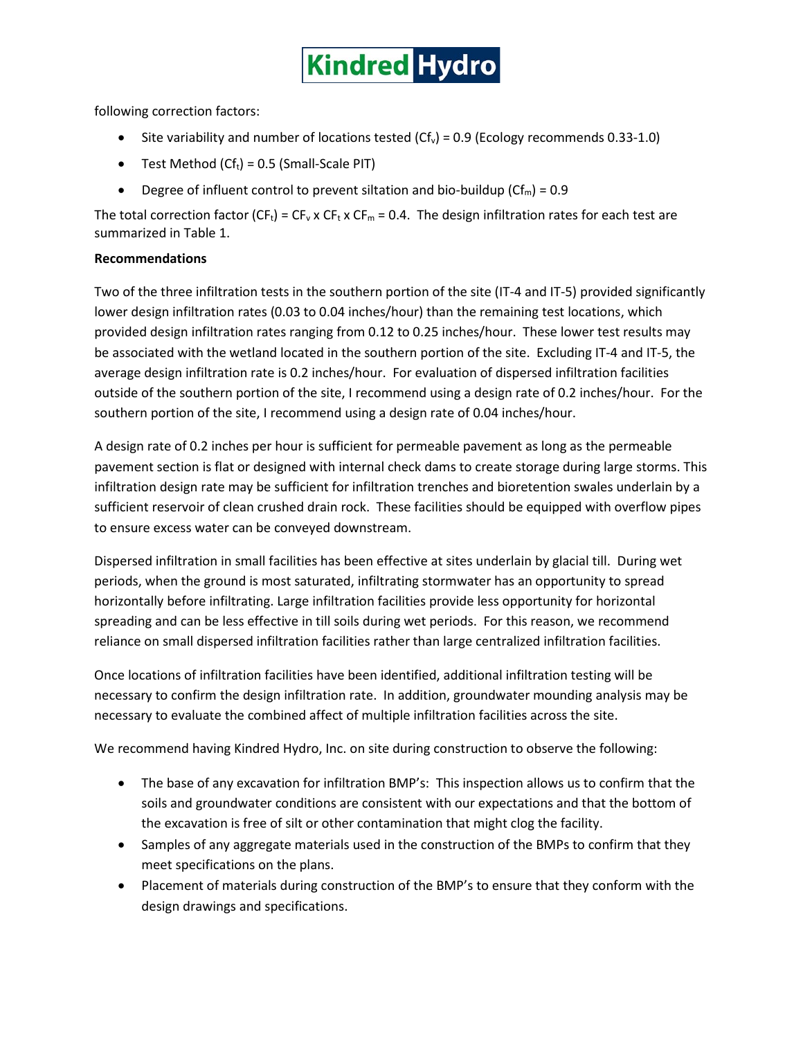

following correction factors:

- Site variability and number of locations tested  $(Cf_v) = 0.9$  (Ecology recommends 0.33-1.0)
- Test Method  $(Cf_t) = 0.5$  (Small-Scale PIT)
- Degree of influent control to prevent siltation and bio-buildup ( $Cf_m$ ) = 0.9

The total correction factor (CF<sub>t</sub>) = CF<sub>v</sub> x CF<sub>t</sub> x CF<sub>m</sub> = 0.4. The design infiltration rates for each test are summarized in Table 1.

## **Recommendations**

Two of the three infiltration tests in the southern portion of the site (IT-4 and IT-5) provided significantly lower design infiltration rates (0.03 to 0.04 inches/hour) than the remaining test locations, which provided design infiltration rates ranging from 0.12 to 0.25 inches/hour. These lower test results may be associated with the wetland located in the southern portion of the site. Excluding IT-4 and IT-5, the average design infiltration rate is 0.2 inches/hour. For evaluation of dispersed infiltration facilities outside of the southern portion of the site, I recommend using a design rate of 0.2 inches/hour. For the southern portion of the site, I recommend using a design rate of 0.04 inches/hour.

A design rate of 0.2 inches per hour is sufficient for permeable pavement as long as the permeable pavement section is flat or designed with internal check dams to create storage during large storms. This infiltration design rate may be sufficient for infiltration trenches and bioretention swales underlain by a sufficient reservoir of clean crushed drain rock. These facilities should be equipped with overflow pipes to ensure excess water can be conveyed downstream.

Dispersed infiltration in small facilities has been effective at sites underlain by glacial till. During wet periods, when the ground is most saturated, infiltrating stormwater has an opportunity to spread horizontally before infiltrating. Large infiltration facilities provide less opportunity for horizontal spreading and can be less effective in till soils during wet periods. For this reason, we recommend reliance on small dispersed infiltration facilities rather than large centralized infiltration facilities.

Once locations of infiltration facilities have been identified, additional infiltration testing will be necessary to confirm the design infiltration rate. In addition, groundwater mounding analysis may be necessary to evaluate the combined affect of multiple infiltration facilities across the site.

We recommend having Kindred Hydro, Inc. on site during construction to observe the following:

- The base of any excavation for infiltration BMP's: This inspection allows us to confirm that the soils and groundwater conditions are consistent with our expectations and that the bottom of the excavation is free of silt or other contamination that might clog the facility.
- Samples of any aggregate materials used in the construction of the BMPs to confirm that they meet specifications on the plans.
- Placement of materials during construction of the BMP's to ensure that they conform with the design drawings and specifications.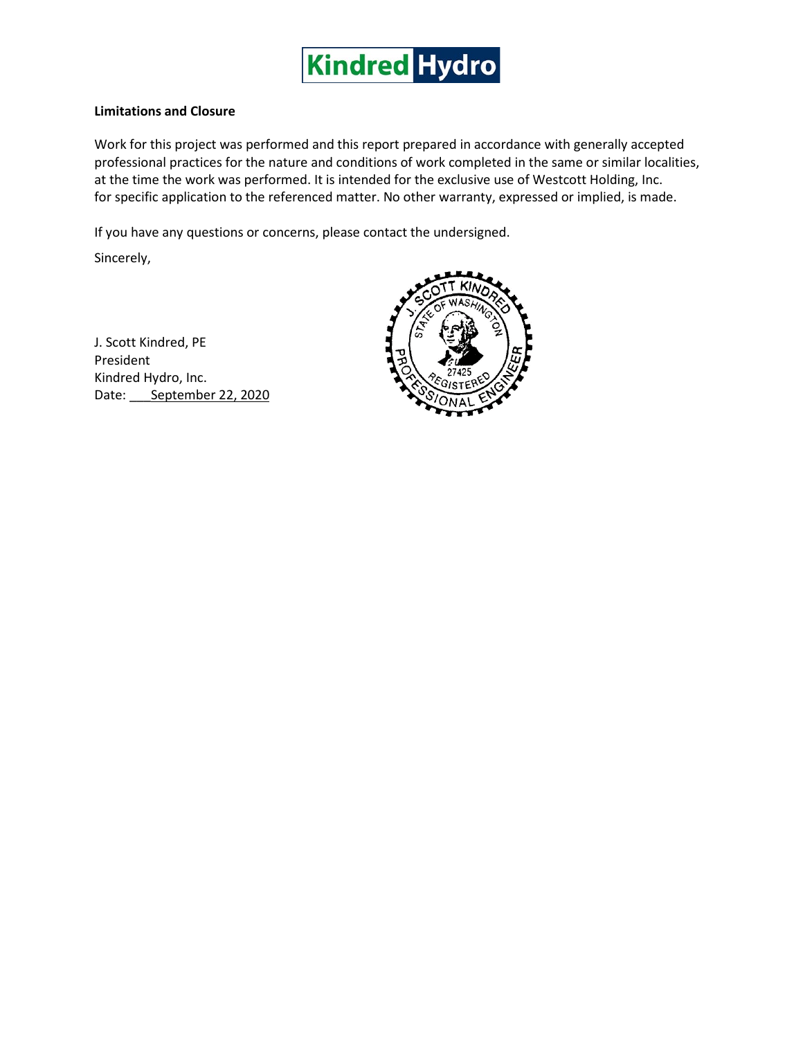

## **Limitations and Closure**

Work for this project was performed and this report prepared in accordance with generally accepted professional practices for the nature and conditions of work completed in the same or similar localities, at the time the work was performed. It is intended for the exclusive use of Westcott Holding, Inc. for specific application to the referenced matter. No other warranty, expressed or implied, is made.

If you have any questions or concerns, please contact the undersigned.

Sincerely,

J. Scott Kindred, PE President Kindred Hydro, Inc. Date: September 22, 2020

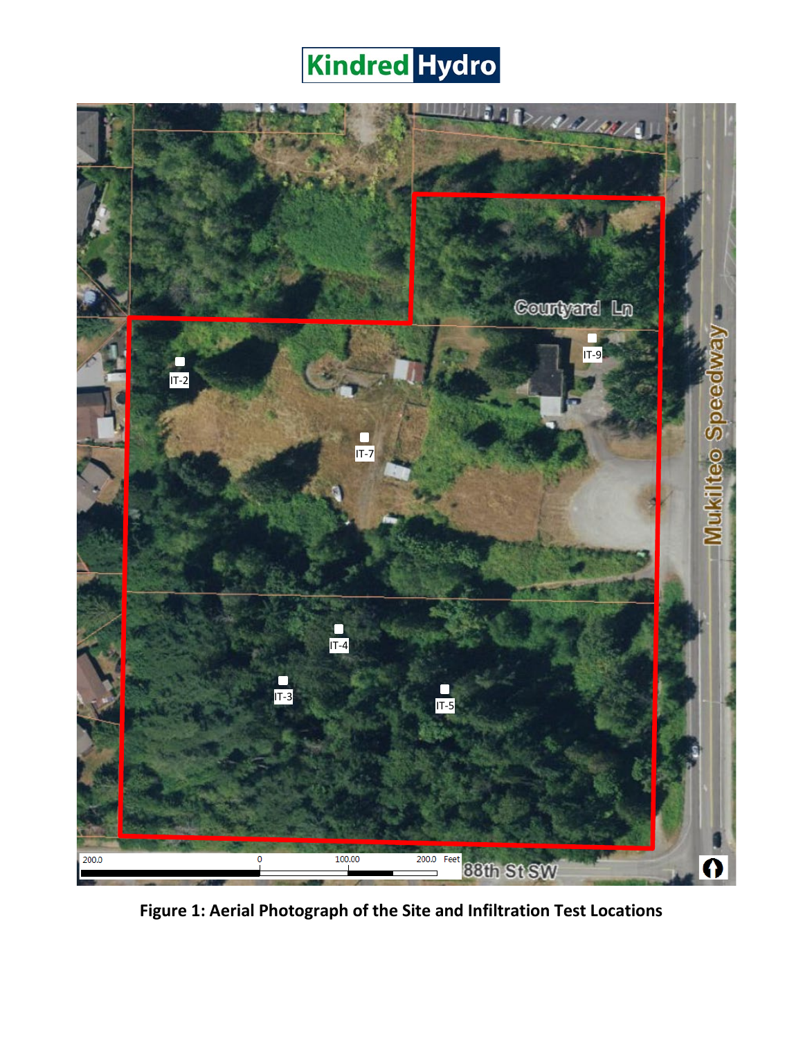# **Kindred Hydro**



**Figure 1: Aerial Photograph of the Site and Infiltration Test Locations**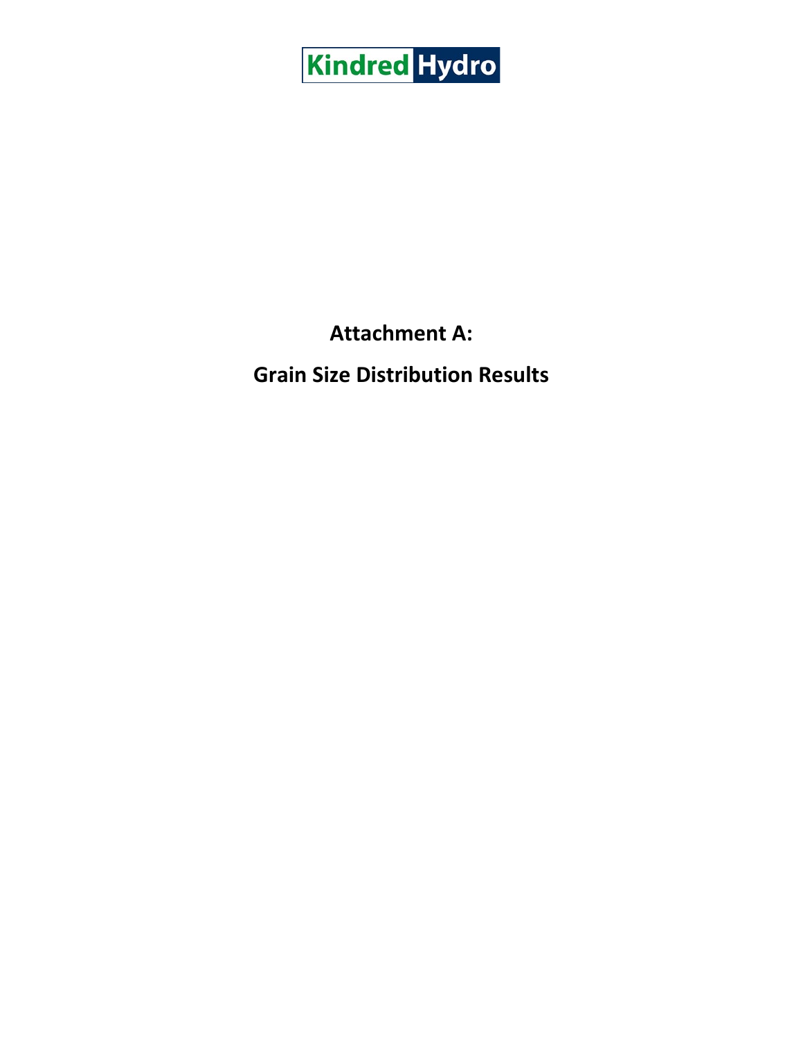

# **Attachment A:**

# **Grain Size Distribution Results**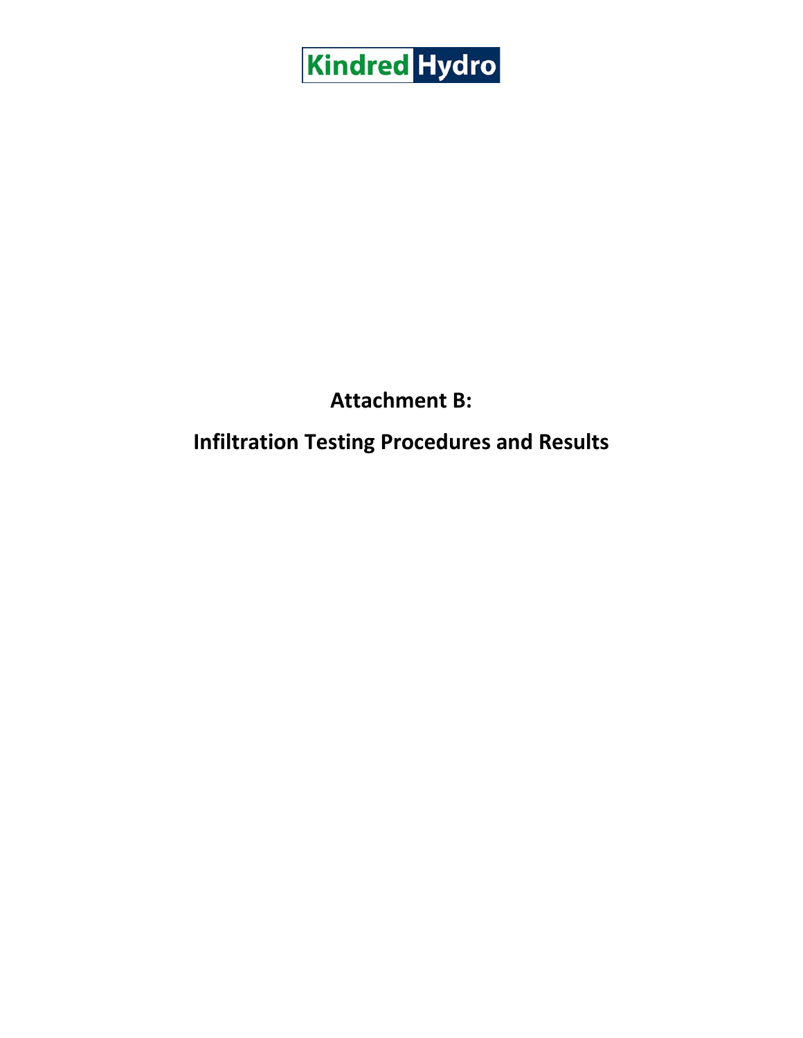

# **Attachment B:**

# **Infiltration Testing Procedures and Results**